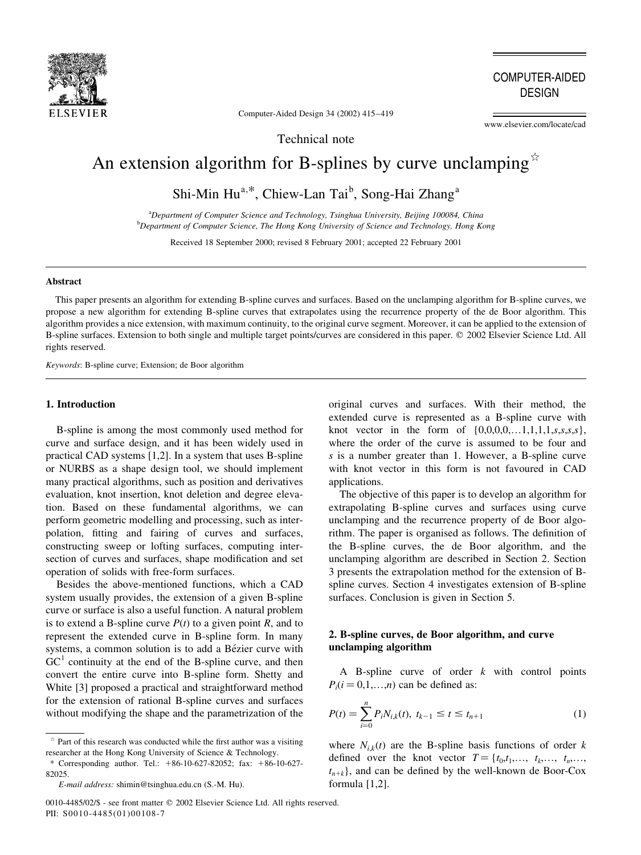

**COMPUTER-AIDED DESIGN** 

Computer-Aided Design 34 (2002) 415-419

www.elsevier.com/locate/cad

Technical note

# An extension algorithm for B-splines by curve unclamping  $\dot{x}$

Shi-Min Hu<sup>a,\*</sup>, Chiew-Lan Tai<sup>b</sup>, Song-Hai Zhang<sup>a</sup>

<sup>a</sup>Department of Computer Science and Technology, Tsinghua University, Beijing 100084, China <sup>b</sup>Department of Computer Science, The Hong Kong University of Science and Technology, Hong Kong

Received 18 September 2000; revised 8 February 2001; accepted 22 February 2001

#### **Abstract**

This paper presents an algorithm for extending B-spline curves and surfaces. Based on the unclamping algorithm for B-spline curves, we propose a new algorithm for extending B-spline curves that extrapolates using the recurrence property of the de Boor algorithm. This algorithm provides a nice extension, with maximum continuity, to the original curve segment. Moreover, it can be applied to the extension of B-spline surfaces. Extension to both single and multiple target points/curves are considered in this paper. © 2002 Elsevier Science Ltd. All rights reserved.

Keywords: B-spline curve; Extension; de Boor algorithm

## 1. Introduction

B-spline is among the most commonly used method for curve and surface design, and it has been widely used in practical CAD systems [1,2]. In a system that uses B-spline or NURBS as a shape design tool, we should implement many practical algorithms, such as position and derivatives evaluation, knot insertion, knot deletion and degree elevation. Based on these fundamental algorithms, we can perform geometric modelling and processing, such as interpolation, fitting and fairing of curves and surfaces, constructing sweep or lofting surfaces, computing intersection of curves and surfaces, shape modification and set operation of solids with free-form surfaces.

Besides the above-mentioned functions, which a CAD system usually provides, the extension of a given B-spline curve or surface is also a useful function. A natural problem is to extend a B-spline curve  $P(t)$  to a given point R, and to represent the extended curve in B-spline form. In many systems, a common solution is to add a Bézier curve with  $GC<sup>1</sup>$  continuity at the end of the B-spline curve, and then convert the entire curve into B-spline form. Shetty and White [3] proposed a practical and straightforward method for the extension of rational B-spline curves and surfaces without modifying the shape and the parametrization of the

0010-4485/02/\$ - see front matter © 2002 Elsevier Science Ltd. All rights reserved. PII: S0010-4485(01)00108-7

original curves and surfaces. With their method, the extended curve is represented as a B-spline curve with knot vector in the form of  $\{0,0,0,0,...1,1,1,1,s,s,s,s\},\$ where the order of the curve is assumed to be four and s is a number greater than 1. However, a B-spline curve with knot vector in this form is not favoured in CAD applications.

The objective of this paper is to develop an algorithm for extrapolating B-spline curves and surfaces using curve unclamping and the recurrence property of de Boor algorithm. The paper is organised as follows. The definition of the B-spline curves, the de Boor algorithm, and the unclamping algorithm are described in Section 2. Section 3 presents the extrapolation method for the extension of Bspline curves. Section 4 investigates extension of B-spline surfaces. Conclusion is given in Section 5.

# 2. B-spline curves, de Boor algorithm, and curve unclamping algorithm

A B-spline curve of order  $k$  with control points  $P_i(i=0,1,...,n)$  can be defined as:

$$
P(t) = \sum_{i=0}^{n} P_i N_{i,k}(t), \ t_{k-1} \le t \le t_{n+1} \tag{1}
$$

where  $N_{i,k}(t)$  are the B-spline basis functions of order k defined over the knot vector  $T = \{t_0, t_1, \ldots, t_k, \ldots, t_n, \ldots, t_n\}$  $t_{n+k}$ , and can be defined by the well-known de Boor-Cox formula [1,2].

 $*$  Part of this research was conducted while the first author was a visiting researcher at the Hong Kong University of Science & Technology.

<sup>\*</sup> Corresponding author. Tel.: +86-10-627-82052; fax: +86-10-627- $82025$ 

E-mail address: shimin@tsinghua.edu.cn (S.-M. Hu).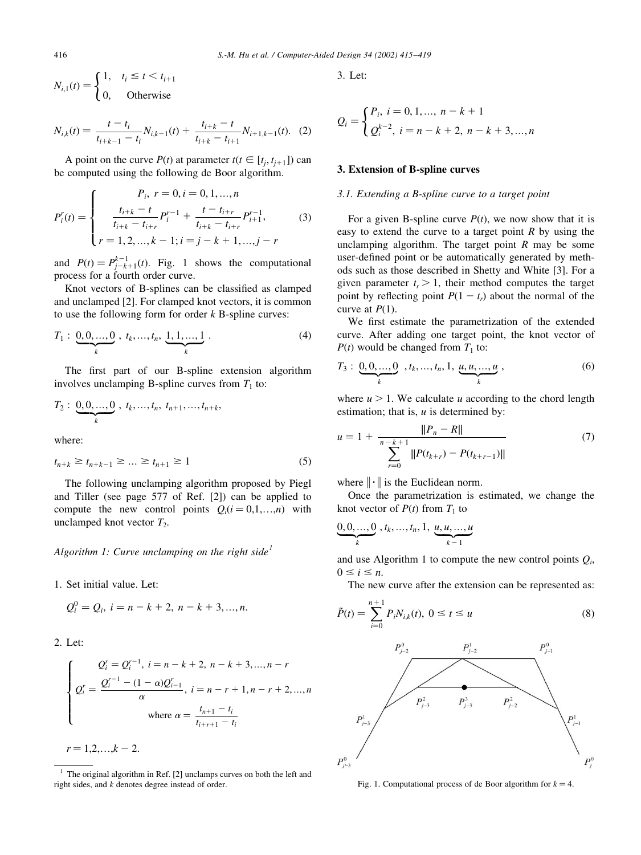$$
N_{i,1}(t) = \begin{cases} 1, & t_i \le t < t_{i+1} \\ 0, & \text{Otherwise} \end{cases}
$$

$$
N_{i,k}(t) = \frac{t - t_i}{t_{i+k-1} - t_i} N_{i,k-1}(t) + \frac{t_{i+k} - t}{t_{i+k} - t_{i+1}} N_{i+1,k-1}(t). \tag{2}
$$

A point on the curve  $P(t)$  at parameter  $t(t \in [t_i, t_{i+1}])$  can be computed using the following de Boor algorithm.

$$
P_i^r(t) = \begin{cases} P_i, r = 0, i = 0, 1, ..., n \\ \frac{t_{i+k} - t}{t_{i+k} - t_{i+r}} P_i^{r-1} + \frac{t - t_{i+r}}{t_{i+k} - t_{i+r}} P_{i+1}^{r-1}, \\ r = 1, 2, ..., k - 1; i = j - k + 1, ..., j - r \end{cases}
$$
(3)

and  $P(t) = P_{i-k+1}^{k-1}(t)$ . Fig. 1 shows the computational process for a fourth order curve.

Knot vectors of B-splines can be classified as clamped and unclamped [2]. For clamped knot vectors, it is common to use the following form for order  $k$  B-spline curves:

$$
T_1: \underbrace{0,0,...,0}_{k}, t_k,...,t_n, \underbrace{1,1,...,1}_{k}.
$$
 (4)

The first part of our B-spline extension algorithm involves unclamping B-spline curves from  $T_1$  to:

$$
T_2: \underbrace{0,0,\ldots,0}_{k}, t_k,\ldots,t_n, t_{n+1},\ldots,t_{n+k},
$$

where:

$$
t_{n+k} \ge t_{n+k-1} \ge \dots \ge t_{n+1} \ge 1
$$
 (5)

The following unclamping algorithm proposed by Piegl and Tiller (see page 577 of Ref. [2]) can be applied to compute the new control points  $Q_i(i=0,1,...,n)$  with unclamped knot vector  $T_2$ .

# Algorithm 1: Curve unclamping on the right side<sup>1</sup>

1. Set initial value. Let:

$$
Q_i^0 = Q_i, i = n - k + 2, n - k + 3, ..., n.
$$

2. Let:

$$
\begin{cases}\nQ_i^r = Q_i^{r-1}, \ i = n - k + 2, \ n - k + 3, \dots, n - r \\
Q_i^r = \frac{Q_i^{r-1} - (1 - \alpha)Q_{i-1}^r}{\alpha}, \ i = n - r + 1, n - r + 2, \dots, n \\
\text{where } \alpha = \frac{t_{n+1} - t_i}{t_{i+r+1} - t_i}\n\end{cases}
$$

 $r = 1, 2, \ldots, k - 2.$ 

 $1$  The original algorithm in Ref. [2] unclamps curves on both the left and right sides, and  $k$  denotes degree instead of order.

3. Let:

$$
Q_i = \begin{cases} P_i, i = 0, 1, ..., n - k + 1 \\ Q_i^{k-2}, i = n - k + 2, n - k + 3, ..., n \end{cases}
$$

### 3. Extension of B-spline curves

# 3.1. Extending a B-spline curve to a target point

For a given B-spline curve  $P(t)$ , we now show that it is easy to extend the curve to a target point  $R$  by using the unclamping algorithm. The target point  $R$  may be some user-defined point or be automatically generated by methods such as those described in Shetty and White [3]. For a given parameter  $t_r > 1$ , their method computes the target point by reflecting point  $P(1 - t_r)$  about the normal of the curve at  $P(1)$ .

We first estimate the parametrization of the extended curve. After adding one target point, the knot vector of  $P(t)$  would be changed from  $T_1$  to:

$$
T_3: \underbrace{0,0,...,0}_{k}, t_k,...,t_n, 1, \underbrace{u, u,...,u}_{k}, \qquad (6)
$$

where  $u > 1$ . We calculate u according to the chord length estimation; that is,  $u$  is determined by:

$$
u = 1 + \frac{||P_n - R||}{\sum_{r=0}^{n-k+1} ||P(t_{k+r}) - P(t_{k+r-1})||}
$$
(7)

where  $\|\cdot\|$  is the Euclidean norm.

Once the parametrization is estimated, we change the knot vector of  $P(t)$  from  $T_1$  to

$$
\underbrace{0,0,...,0}_{k}, t_k,...,t_n, 1, \underbrace{u, u,...,u}_{k-1}
$$

and use Algorithm 1 to compute the new control points  $Q_i$ ,  $0 \leq i \leq n$ 

The new curve after the extension can be represented as:

$$
\tilde{P}(t) = \sum_{i=0}^{n+1} P_i N_{i,k}(t), \ 0 \le t \le u \tag{8}
$$



Fig. 1. Computational process of de Boor algorithm for  $k = 4$ .

416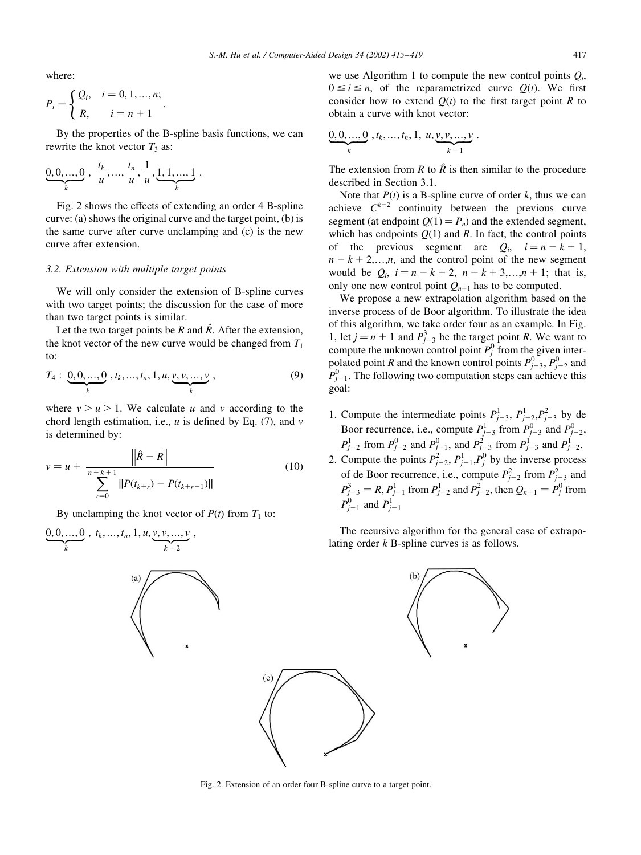where:

$$
P_i = \begin{cases} Q_i, & i = 0, 1, ..., n; \\ R, & i = n + 1 \end{cases}
$$

By the properties of the B-spline basis functions, we can rewrite the knot vector  $T_3$  as:

$$
\underbrace{0,0,...,0}_{k},\ \frac{t_k}{u},\dots,\frac{t_n}{u},\frac{1}{u},\underbrace{1,1,...,1}_{k}.
$$

Fig. 2 shows the effects of extending an order 4 B-spline curve: (a) shows the original curve and the target point, (b) is the same curve after curve unclamping and (c) is the new curve after extension.

#### 3.2. Extension with multiple target points

We will only consider the extension of B-spline curves with two target points; the discussion for the case of more than two target points is similar.

Let the two target points be R and  $\hat{R}$ . After the extension. the knot vector of the new curve would be changed from  $T_1$  $t_0$ 

$$
T_4: \underbrace{0,0,...,0}_{k}, t_k,...,t_n,1,u,\underbrace{v,v,...,v}_{k},
$$
\n(9)

where  $v > u > 1$ . We calculate u and v according to the chord length estimation, i.e., u is defined by Eq.  $(7)$ , and v is determined by:

$$
v = u + \frac{\left\| \hat{R} - R \right\|}{\sum_{r=0}^{n-k+1} \| P(t_{k+r}) - P(t_{k+r-1}) \|}
$$
(10)

By unclamping the knot vector of  $P(t)$  from  $T_1$  to:



we use Algorithm 1 to compute the new control points  $Q_i$ ,  $0 \le i \le n$ , of the reparametrized curve  $Q(t)$ . We first consider how to extend  $Q(t)$  to the first target point R to obtain a curve with knot vector:

$$
\underbrace{0,0,...,0}_{k}, t_k,...,t_n,1, u, \underbrace{v,v,...,v}_{k-1}.
$$

The extension from R to  $\hat{R}$  is then similar to the procedure described in Section 3.1.

Note that  $P(t)$  is a B-spline curve of order k, thus we can achieve  $C^{k-2}$  continuity between the previous curve segment (at endpoint  $Q(1) = P_n$ ) and the extended segment, which has endpoints  $Q(1)$  and R. In fact, the control points of the previous segment are  $Q_i$ ,  $i = n - k + 1$ ,  $n - k + 2,...,n$ , and the control point of the new segment would be  $Q_i$ ,  $i = n - k + 2$ ,  $n - k + 3,...,n + 1$ ; that is, only one new control point  $Q_{n+1}$  has to be computed.

We propose a new extrapolation algorithm based on the inverse process of de Boor algorithm. To illustrate the idea of this algorithm, we take order four as an example. In Fig. 1, let  $j = n + 1$  and  $P_{i-3}^3$  be the target point R. We want to compute the unknown control point  $P_j^0$  from the given interpolated point *R* and the known control points  $P_{j-3}^0$ ,  $P_{j-2}^0$  and  $P_{j-1}^0$ . The following two computation steps can achieve this goal:

- 1. Compute the intermediate points  $P_{i-3}^1$ ,  $P_{i-2}^1$ ,  $P_{i-3}^2$  by de Boor recurrence, i.e., compute  $P_{j-3}^1$  from  $P_{j-3}^0$  and  $P_{j-2}^0$ ,<br>  $P_{j-2}^1$  from  $P_{j-2}^0$  and  $P_{j-1}^0$ , and  $P_{j-3}^2$  from  $P_{j-3}^1$  and  $P_{j-2}^1$ .<br>
2. Compute the points  $P_{j-2}^2$ ,  $P_{j-1}^1$ ,  $P_j^0$  by
- of de Boor recurrence, i.e., compute  $P_{j-2}^2$  from  $P_{j-3}^2$  and  $P_{j-3}^3 = R$ ,  $P_{j-1}^1$  from  $P_{j-2}^1$  and  $P_{j-2}^2$ , then  $Q_{n+1} = P_j^0$  from  $P_{i-1}^0$  and  $P_{i-1}^1$

The recursive algorithm for the general case of extrapolating order  $k$  B-spline curves is as follows.



Fig. 2. Extension of an order four B-spline curve to a target point.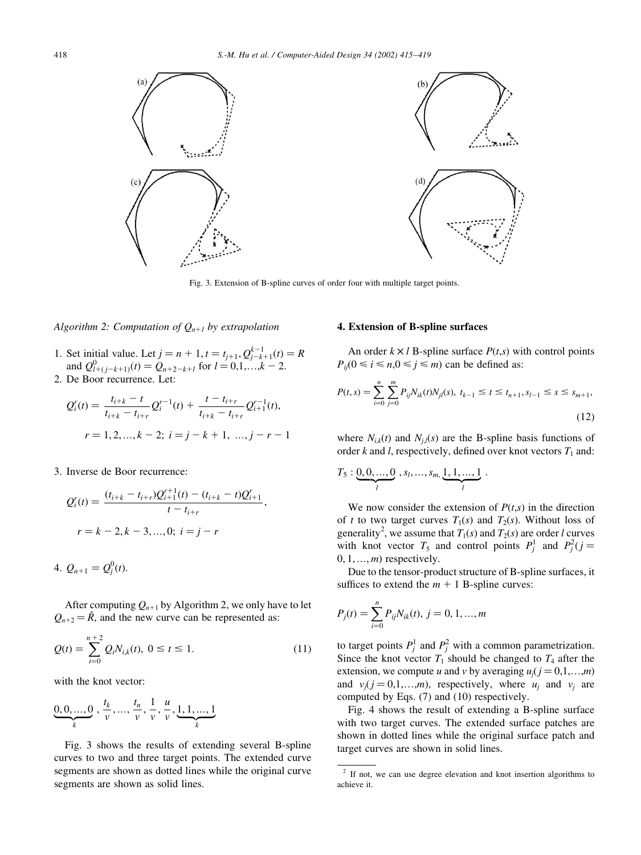

Fig. 3. Extension of B-spline curves of order four with multiple target points.

#### Algorithm 2: Computation of  $Q_{n+1}$  by extrapolation

- 1. Set initial value. Let  $j = n + 1$ ,  $t = t_{j+1}$ ,  $Q_{j-k+1}^{k-1}(t) = R$ <br>and  $Q_{l+(j-k+1)}^0(t) = Q_{n+2-k+l}$  for  $l = 0,1,...,k-2$ .
- 2. De Boor recurrence. Let:

$$
Q_i^r(t) = \frac{t_{i+k} - t}{t_{i+k} - t_{i+r}} Q_i^{r-1}(t) + \frac{t - t_{i+r}}{t_{i+k} - t_{i+r}} Q_{i+1}^{r-1}(t),
$$
  

$$
r = 1, 2, ..., k - 2; i = j - k + 1, ..., j - r - 1
$$

3. Inverse de Boor recurrence:

$$
Q_i^r(t) = \frac{(t_{i+k} - t_{i+r})Q_{i+1}^{r+1}(t) - (t_{i+k} - t)Q_{i+1}^r}{t - t_{i+r}}
$$
  

$$
r = k - 2, k - 3, ..., 0; i = j - r
$$

4.  $Q_{n+1} = Q_i^0(t)$ .

After computing  $Q_{n+1}$  by Algorithm 2, we only have to let  $Q_{n+2} = \hat{R}$ , and the new curve can be represented as:

$$
Q(t) = \sum_{i=0}^{n+2} Q_i N_{i,k}(t), \ 0 \le t \le 1.
$$
 (11)

with the knot vector:

$$
\underbrace{0,0,\ldots,0}_{k},\,\frac{t_k}{v},\ldots,\frac{t_n}{v},\frac{1}{v},\frac{u}{v},\underbrace{1,1,\ldots,1}_{k}
$$

Fig. 3 shows the results of extending several B-spline curves to two and three target points. The extended curve segments are shown as dotted lines while the original curve segments are shown as solid lines.

# 4. Extension of B-spline surfaces

An order  $k \times l$  B-spline surface  $P(t,s)$  with control points  $P_{ij}$ (0  $\le i \le n, 0 \le j \le m$ ) can be defined as:

$$
P(t,s) = \sum_{i=0}^{n} \sum_{j=0}^{m} P_{ij} N_{ik}(t) N_{jl}(s), \ t_{k-1} \le t \le t_{n+1}, s_{l-1} \le s \le s_{m+1},
$$
\n(12)

where  $N_{i,k}(t)$  and  $N_{i,l}(s)$  are the B-spline basis functions of order  $k$  and  $l$ , respectively, defined over knot vectors  $T_1$  and:

$$
T_5: \underbrace{0,0,\ldots,0}_{l}, s_l,\ldots,s_m,\underbrace{1,1,\ldots,1}_{l}.
$$

We now consider the extension of  $P(t,s)$  in the direction of t to two target curves  $T_1(s)$  and  $T_2(s)$ . Without loss of generality<sup>2</sup>, we assume that  $T_1(s)$  and  $T_2(s)$  are order l curves with knot vector  $T_5$  and control points  $P_j^1$  and  $P_j^2(j =$  $0, 1, \ldots, m$  respectively.

Due to the tensor-product structure of B-spline surfaces, it suffices to extend the  $m + 1$  B-spline curves:

$$
P_j(t) = \sum_{i=0}^{n} P_{ij} N_{ik}(t), j = 0, 1, ..., m
$$

to target points  $P_i^1$  and  $P_i^2$  with a common parametrization. Since the knot vector  $T_1$  should be changed to  $T_4$  after the extension, we compute u and v by averaging  $u_i$  ( $j = 0, 1, ..., m$ ) and  $v_i$ ( $j = 0,1,...,m$ ), respectively, where  $u_i$  and  $v_i$  are computed by Eqs. (7) and (10) respectively.

Fig. 4 shows the result of extending a B-spline surface with two target curves. The extended surface patches are shown in dotted lines while the original surface patch and target curves are shown in solid lines.

 $2$  If not, we can use degree elevation and knot insertion algorithms to achieve it.